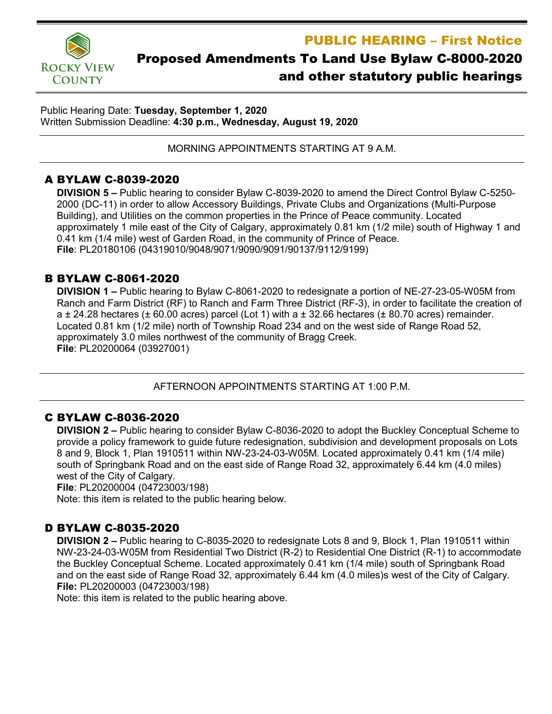

## PUBLIC HEARING – First Notice Proposed Amendments To Land Use Bylaw C-8000-2020

# and other statutory public hearings

Public Hearing Date: **Tuesday, September 1, 2020** Written Submission Deadline: **4:30 p.m., Wednesday, August 19, 2020**

MORNING APPOINTMENTS STARTING AT 9 A.M.

### A BYLAW C-8039-2020

**DIVISION 5 –** Public hearing to consider Bylaw C-8039-2020 to amend the Direct Control Bylaw C-5250- 2000 (DC-11) in order to allow Accessory Buildings, Private Clubs and Organizations (Multi-Purpose Building), and Utilities on the common properties in the Prince of Peace community. Located approximately 1 mile east of the City of Calgary, approximately 0.81 km (1/2 mile) south of Highway 1 and 0.41 km (1/4 mile) west of Garden Road, in the community of Prince of Peace. **File**: PL20180106 (04319010/9048/9071/9090/9091/90137/9112/9199)

#### B BYLAW C-8061-2020

**DIVISION 1 –** Public hearing to Bylaw C-8061-2020 to redesignate a portion of NE-27-23-05-W05M from Ranch and Farm District (RF) to Ranch and Farm Three District (RF-3), in order to facilitate the creation of a  $\pm$  24.28 hectares ( $\pm$  60.00 acres) parcel (Lot 1) with a  $\pm$  32.66 hectares ( $\pm$  80.70 acres) remainder. Located 0.81 km (1/2 mile) north of Township Road 234 and on the west side of Range Road 52, approximately 3.0 miles northwest of the community of Bragg Creek. **File**: PL20200064 (03927001)

AFTERNOON APPOINTMENTS STARTING AT 1:00 P.M.

#### C BYLAW C-8036-2020

**DIVISION 2 –** Public hearing to consider Bylaw C-8036-2020 to adopt the Buckley Conceptual Scheme to provide a policy framework to guide future redesignation, subdivision and development proposals on Lots 8 and 9, Block 1, Plan 1910511 within NW-23-24-03-W05M. Located approximately 0.41 km (1/4 mile) south of Springbank Road and on the east side of Range Road 32, approximately 6.44 km (4.0 miles) west of the City of Calgary.

**File**: PL20200004 (04723003/198)

Note: this item is related to the public hearing below.

#### D BYLAW C-8035-2020

**DIVISION 2 –** Public hearing to C-8035-2020 to redesignate Lots 8 and 9, Block 1, Plan 1910511 within NW-23-24-03-W05M from Residential Two District (R-2) to Residential One District (R-1) to accommodate the Buckley Conceptual Scheme. Located approximately 0.41 km (1/4 mile) south of Springbank Road and on the east side of Range Road 32, approximately 6.44 km (4.0 miles)s west of the City of Calgary. **File:** PL20200003 (04723003/198)

Note: this item is related to the public hearing above.